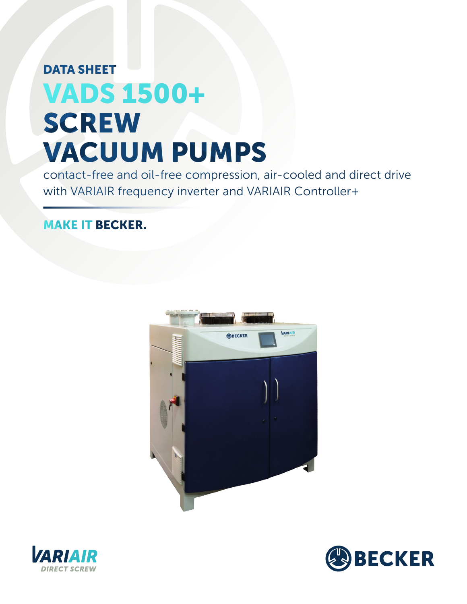## DATA SHEET VADS 1500+ **SCREW** VACUUM PUMPS

contact-free and oil-free compression, air-cooled and direct drive with VARIAIR frequency inverter and VARIAIR Controller+

## MAKE IT BECKER.





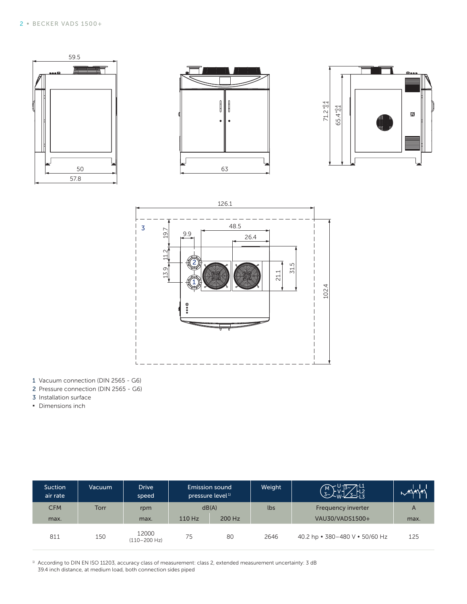



- 1 Vacuum connection (DIN 2565 G6)
- 2 Pressure connection (DIN 2565 G6)
- 3 Installation surface
- **▪** Dimensions inch

| <b>Suction</b><br>air rate | Vacuum | <b>Drive</b><br>speed     | Emission sound<br>pressure level <sup>1)</sup> |        | Weight | $\frac{13}{3}$<br>$\left(\begin{array}{c} M \\ 3 \sim \end{array}\right)$ | 本社社  |
|----------------------------|--------|---------------------------|------------------------------------------------|--------|--------|---------------------------------------------------------------------------|------|
| <b>CFM</b>                 | Torr   | rpm                       | dB(A)                                          |        | lbs    | Frequency inverter                                                        | A    |
| max.                       |        | max.                      | 110 Hz                                         | 200 Hz |        | VAU30/VADS1500+                                                           | max. |
| 811                        | 150    | 12000<br>$(110 - 200$ Hz) | 75                                             | 80     | 2646   | 40.2 hp • 380-480 V • 50/60 Hz                                            | 125  |

<sup>1)</sup> According to DIN EN ISO 11203, accuracy class of measurement: class 2, extended measurement uncertainty: 3 dB 39.4 inch distance, at medium load, both connection sides piped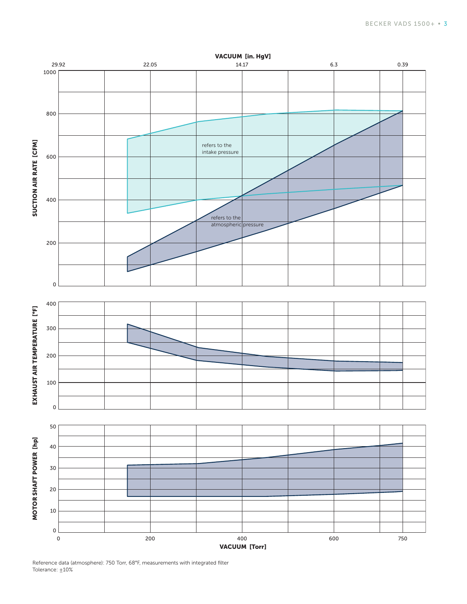

Reference data (atmosphere): 750 Torr, 68°F, measurements with integrated filter Tolerance:  $±10%$